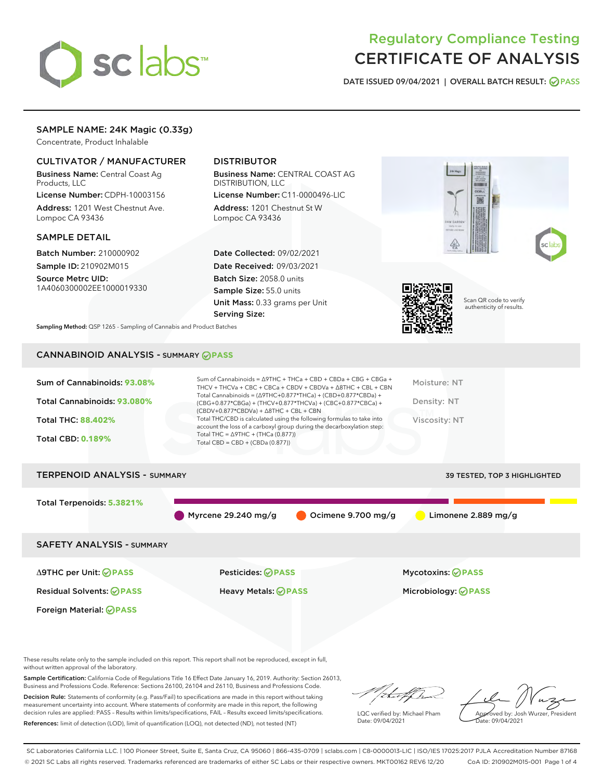

# Regulatory Compliance Testing CERTIFICATE OF ANALYSIS

DATE ISSUED 09/04/2021 | OVERALL BATCH RESULT: @ PASS

# SAMPLE NAME: 24K Magic (0.33g)

Concentrate, Product Inhalable

# CULTIVATOR / MANUFACTURER

Business Name: Central Coast Ag Products, LLC

License Number: CDPH-10003156 Address: 1201 West Chestnut Ave. Lompoc CA 93436

#### SAMPLE DETAIL

Batch Number: 210000902 Sample ID: 210902M015

Source Metrc UID: 1A4060300002EE1000019330

# DISTRIBUTOR

Business Name: CENTRAL COAST AG DISTRIBUTION, LLC

License Number: C11-0000496-LIC Address: 1201 Chestnut St W Lompoc CA 93436

Date Collected: 09/02/2021 Date Received: 09/03/2021 Batch Size: 2058.0 units Sample Size: 55.0 units Unit Mass: 0.33 grams per Unit Serving Size:







Scan QR code to verify authenticity of results.

Sampling Method: QSP 1265 - Sampling of Cannabis and Product Batches

# CANNABINOID ANALYSIS - SUMMARY **PASS**

| Sum of Cannabinoids: 93.08%<br>Total Cannabinoids: 93.080%<br><b>Total THC: 88.402%</b><br><b>Total CBD: 0.189%</b> | Sum of Cannabinoids = $\triangle$ 9THC + THCa + CBD + CBDa + CBG + CBGa +<br>THCV + THCVa + CBC + CBCa + CBDV + CBDVa + $\land$ 8THC + CBL + CBN<br>Total Cannabinoids = $(\Delta$ 9THC+0.877*THCa) + $(CBD+0.877*CBDa) +$<br>(CBG+0.877*CBGa) + (THCV+0.877*THCVa) + (CBC+0.877*CBCa) +<br>$(CBDV+0.877*CBDVa) + \Delta 8THC + CBL + CBN$<br>Total THC/CBD is calculated using the following formulas to take into<br>account the loss of a carboxyl group during the decarboxylation step:<br>Total THC = $\triangle$ 9THC + (THCa (0.877))<br>Total CBD = $CBD + (CBDa (0.877))$ | Moisture: NT<br>Density: NT<br>Viscosity: NT |
|---------------------------------------------------------------------------------------------------------------------|-------------------------------------------------------------------------------------------------------------------------------------------------------------------------------------------------------------------------------------------------------------------------------------------------------------------------------------------------------------------------------------------------------------------------------------------------------------------------------------------------------------------------------------------------------------------------------------|----------------------------------------------|
| <b>TERPENOID ANALYSIS - SUMMARY</b>                                                                                 |                                                                                                                                                                                                                                                                                                                                                                                                                                                                                                                                                                                     | <b>39 TESTED, TOP 3 HIGHLIGHTED</b>          |

| ILNELIVUID AIVALTJIJE SUMMART    |                           |                    | 39 I ESTED, TOP 3 HIGHLIGHTED |  |
|----------------------------------|---------------------------|--------------------|-------------------------------|--|
| Total Terpenoids: 5.3821%        |                           |                    |                               |  |
|                                  | Myrcene 29.240 mg/g       | Ocimene 9.700 mg/g | Limonene $2.889$ mg/g         |  |
| <b>SAFETY ANALYSIS - SUMMARY</b> |                           |                    |                               |  |
| ∆9THC per Unit: ⊘PASS            | <b>Pesticides: ⊘ PASS</b> |                    | Mycotoxins: <b>OPASS</b>      |  |

Foreign Material: **PASS**

Residual Solvents: **PASS** Heavy Metals: **PASS** Microbiology: **PASS**

These results relate only to the sample included on this report. This report shall not be reproduced, except in full, without written approval of the laboratory.

Sample Certification: California Code of Regulations Title 16 Effect Date January 16, 2019. Authority: Section 26013, Business and Professions Code. Reference: Sections 26100, 26104 and 26110, Business and Professions Code.

Decision Rule: Statements of conformity (e.g. Pass/Fail) to specifications are made in this report without taking measurement uncertainty into account. Where statements of conformity are made in this report, the following decision rules are applied: PASS – Results within limits/specifications, FAIL – Results exceed limits/specifications. References: limit of detection (LOD), limit of quantification (LOQ), not detected (ND), not tested (NT)

that for

LQC verified by: Michael Pham Date: 09/04/2021

Approved by: Josh Wurzer, President Date: 09/04/2021

SC Laboratories California LLC. | 100 Pioneer Street, Suite E, Santa Cruz, CA 95060 | 866-435-0709 | sclabs.com | C8-0000013-LIC | ISO/IES 17025:2017 PJLA Accreditation Number 87168 © 2021 SC Labs all rights reserved. Trademarks referenced are trademarks of either SC Labs or their respective owners. MKT00162 REV6 12/20 CoA ID: 210902M015-001 Page 1 of 4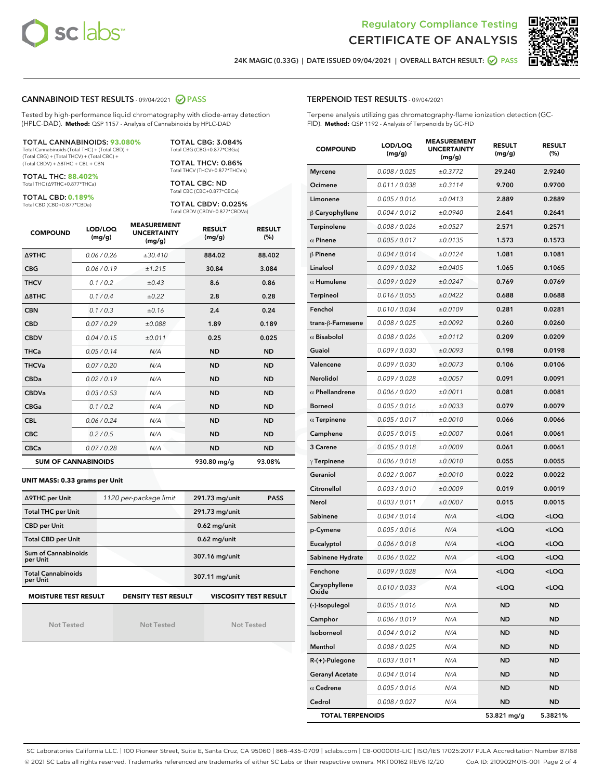



24K MAGIC (0.33G) | DATE ISSUED 09/04/2021 | OVERALL BATCH RESULT: ◯ PASS

#### CANNABINOID TEST RESULTS - 09/04/2021 2 PASS

Tested by high-performance liquid chromatography with diode-array detection (HPLC-DAD). **Method:** QSP 1157 - Analysis of Cannabinoids by HPLC-DAD

#### TOTAL CANNABINOIDS: **93.080%**

Total Cannabinoids (Total THC) + (Total CBD) + (Total CBG) + (Total THCV) + (Total CBC) + (Total CBDV) + ∆8THC + CBL + CBN

TOTAL THC: **88.402%** Total THC (∆9THC+0.877\*THCa)

TOTAL CBD: **0.189%**

Total CBD (CBD+0.877\*CBDa)

TOTAL CBG: 3.084% Total CBG (CBG+0.877\*CBGa)

TOTAL THCV: 0.86% Total THCV (THCV+0.877\*THCVa)

TOTAL CBC: ND Total CBC (CBC+0.877\*CBCa)

TOTAL CBDV: 0.025% Total CBDV (CBDV+0.877\*CBDVa)

| <b>COMPOUND</b>  | LOD/LOQ<br>(mg/g)          | <b>MEASUREMENT</b><br><b>UNCERTAINTY</b><br>(mg/g) | <b>RESULT</b><br>(mg/g) | <b>RESULT</b><br>(%) |
|------------------|----------------------------|----------------------------------------------------|-------------------------|----------------------|
| <b>A9THC</b>     | 0.06 / 0.26                | ±30.410                                            | 884.02                  | 88.402               |
| <b>CBG</b>       | 0.06 / 0.19                | ±1.215                                             | 30.84                   | 3.084                |
| <b>THCV</b>      | 0.1 / 0.2                  | ±0.43                                              | 8.6                     | 0.86                 |
| $\triangle$ 8THC | 0.1/0.4                    | $\pm 0.22$                                         | 2.8                     | 0.28                 |
| <b>CBN</b>       | 0.1/0.3                    | ±0.16                                              | 2.4                     | 0.24                 |
| <b>CBD</b>       | 0.07/0.29                  | ±0.088                                             | 1.89                    | 0.189                |
| <b>CBDV</b>      | 0.04/0.15                  | ±0.011                                             | 0.25                    | 0.025                |
| <b>THCa</b>      | 0.05/0.14                  | N/A                                                | <b>ND</b>               | <b>ND</b>            |
| <b>THCVa</b>     | 0.07/0.20                  | N/A                                                | <b>ND</b>               | <b>ND</b>            |
| <b>CBDa</b>      | 0.02/0.19                  | N/A                                                | <b>ND</b>               | <b>ND</b>            |
| <b>CBDVa</b>     | 0.03 / 0.53                | N/A                                                | <b>ND</b>               | <b>ND</b>            |
| <b>CBGa</b>      | 0.1/0.2                    | N/A                                                | <b>ND</b>               | <b>ND</b>            |
| <b>CBL</b>       | 0.06 / 0.24                | N/A                                                | <b>ND</b>               | <b>ND</b>            |
| <b>CBC</b>       | 0.2 / 0.5                  | N/A                                                | <b>ND</b>               | <b>ND</b>            |
| <b>CBCa</b>      | 0.07 / 0.28                | N/A                                                | <b>ND</b>               | <b>ND</b>            |
|                  | <b>SUM OF CANNABINOIDS</b> |                                                    | 930.80 mg/g             | 93.08%               |

#### **UNIT MASS: 0.33 grams per Unit**

| ∆9THC per Unit                        | 1120 per-package limit     | 291.73 mg/unit<br><b>PASS</b> |
|---------------------------------------|----------------------------|-------------------------------|
| <b>Total THC per Unit</b>             |                            | 291.73 mg/unit                |
| <b>CBD per Unit</b>                   |                            | $0.62$ mg/unit                |
| <b>Total CBD per Unit</b>             |                            | $0.62$ mg/unit                |
| Sum of Cannabinoids<br>per Unit       |                            | 307.16 mg/unit                |
| <b>Total Cannabinoids</b><br>per Unit |                            | 307.11 mg/unit                |
| <b>MOISTURE TEST RESULT</b>           | <b>DENSITY TEST RESULT</b> | <b>VISCOSITY TEST RESULT</b>  |

Not Tested

Not Tested

Not Tested

#### TERPENOID TEST RESULTS - 09/04/2021

Terpene analysis utilizing gas chromatography-flame ionization detection (GC-FID). **Method:** QSP 1192 - Analysis of Terpenoids by GC-FID

| <b>COMPOUND</b>         | LOD/LOQ<br>(mg/g) | <b>MEASUREMENT</b><br><b>UNCERTAINTY</b><br>(mg/g) | <b>RESULT</b><br>(mg/g)                         | <b>RESULT</b><br>(%) |
|-------------------------|-------------------|----------------------------------------------------|-------------------------------------------------|----------------------|
| <b>Myrcene</b>          | 0.008 / 0.025     | ±0.3772                                            | 29.240                                          | 2.9240               |
| Ocimene                 | 0.011 / 0.038     | ±0.3114                                            | 9.700                                           | 0.9700               |
| Limonene                | 0.005 / 0.016     | ±0.0413                                            | 2.889                                           | 0.2889               |
| $\upbeta$ Caryophyllene | 0.004 / 0.012     | ±0.0940                                            | 2.641                                           | 0.2641               |
| Terpinolene             | 0.008 / 0.026     | ±0.0527                                            | 2.571                                           | 0.2571               |
| $\alpha$ Pinene         | 0.005 / 0.017     | ±0.0135                                            | 1.573                                           | 0.1573               |
| $\beta$ Pinene          | 0.004 / 0.014     | ±0.0124                                            | 1.081                                           | 0.1081               |
| Linalool                | 0.009 / 0.032     | ±0.0405                                            | 1.065                                           | 0.1065               |
| $\alpha$ Humulene       | 0.009 / 0.029     | ±0.0247                                            | 0.769                                           | 0.0769               |
| Terpineol               | 0.016 / 0.055     | ±0.0422                                            | 0.688                                           | 0.0688               |
| Fenchol                 | 0.010 / 0.034     | ±0.0109                                            | 0.281                                           | 0.0281               |
| trans-ß-Farnesene       | 0.008 / 0.025     | ±0.0092                                            | 0.260                                           | 0.0260               |
| $\alpha$ Bisabolol      | 0.008 / 0.026     | ±0.0112                                            | 0.209                                           | 0.0209               |
| Guaiol                  | 0.009 / 0.030     | ±0.0093                                            | 0.198                                           | 0.0198               |
| Valencene               | 0.009 / 0.030     | ±0.0073                                            | 0.106                                           | 0.0106               |
| Nerolidol               | 0.009 / 0.028     | ±0.0057                                            | 0.091                                           | 0.0091               |
| $\alpha$ Phellandrene   | 0.006 / 0.020     | ±0.0011                                            | 0.081                                           | 0.0081               |
| <b>Borneol</b>          | 0.005 / 0.016     | ±0.0033                                            | 0.079                                           | 0.0079               |
| $\alpha$ Terpinene      | 0.005 / 0.017     | ±0.0010                                            | 0.066                                           | 0.0066               |
| Camphene                | 0.005 / 0.015     | ±0.0007                                            | 0.061                                           | 0.0061               |
| 3 Carene                | 0.005 / 0.018     | ±0.0009                                            | 0.061                                           | 0.0061               |
| $\gamma$ Terpinene      | 0.006 / 0.018     | ±0.0010                                            | 0.055                                           | 0.0055               |
| Geraniol                | 0.002 / 0.007     | ±0.0010                                            | 0.022                                           | 0.0022               |
| Citronellol             | 0.003 / 0.010     | ±0.0009                                            | 0.019                                           | 0.0019               |
| Nerol                   | 0.003 / 0.011     | ±0.0007                                            | 0.015                                           | 0.0015               |
| Sabinene                | 0.004 / 0.014     | N/A                                                | <loq< th=""><th><loq< th=""></loq<></th></loq<> | <loq< th=""></loq<>  |
| p-Cymene                | 0.005 / 0.016     | N/A                                                | <loq< th=""><th><loq< th=""></loq<></th></loq<> | <loq< th=""></loq<>  |
| Eucalyptol              | 0.006 / 0.018     | N/A                                                | <loq< th=""><th><loq< th=""></loq<></th></loq<> | <loq< th=""></loq<>  |
| Sabinene Hydrate        | 0.006 / 0.022     | N/A                                                | <loq< th=""><th><loq< th=""></loq<></th></loq<> | <loq< th=""></loq<>  |
| Fenchone                | 0.009 / 0.028     | N/A                                                | <loq< th=""><th><loq< th=""></loq<></th></loq<> | <loq< th=""></loq<>  |
| Caryophyllene<br>Oxide  | 0.010 / 0.033     | N/A                                                | <loq< th=""><th><loq< th=""></loq<></th></loq<> | <loq< th=""></loq<>  |
| (-)-Isopulegol          | 0.005 / 0.016     | N/A                                                | ND                                              | ND                   |
| Camphor                 | 0.006 / 0.019     | N/A                                                | ND                                              | <b>ND</b>            |
| Isoborneol              | 0.004 / 0.012     | N/A                                                | ND                                              | <b>ND</b>            |
| Menthol                 | 0.008 / 0.025     | N/A                                                | ND                                              | ND                   |
| R-(+)-Pulegone          | 0.003 / 0.011     | N/A                                                | ND                                              | ND                   |
| <b>Geranyl Acetate</b>  | 0.004 / 0.014     | N/A                                                | ND                                              | <b>ND</b>            |
| $\alpha$ Cedrene        | 0.005 / 0.016     | N/A                                                | ND                                              | ND                   |
| Cedrol                  | 0.008 / 0.027     | N/A                                                | ND                                              | <b>ND</b>            |
| <b>TOTAL TERPENOIDS</b> |                   |                                                    | 53.821 mg/g                                     | 5.3821%              |

SC Laboratories California LLC. | 100 Pioneer Street, Suite E, Santa Cruz, CA 95060 | 866-435-0709 | sclabs.com | C8-0000013-LIC | ISO/IES 17025:2017 PJLA Accreditation Number 87168 © 2021 SC Labs all rights reserved. Trademarks referenced are trademarks of either SC Labs or their respective owners. MKT00162 REV6 12/20 CoA ID: 210902M015-001 Page 2 of 4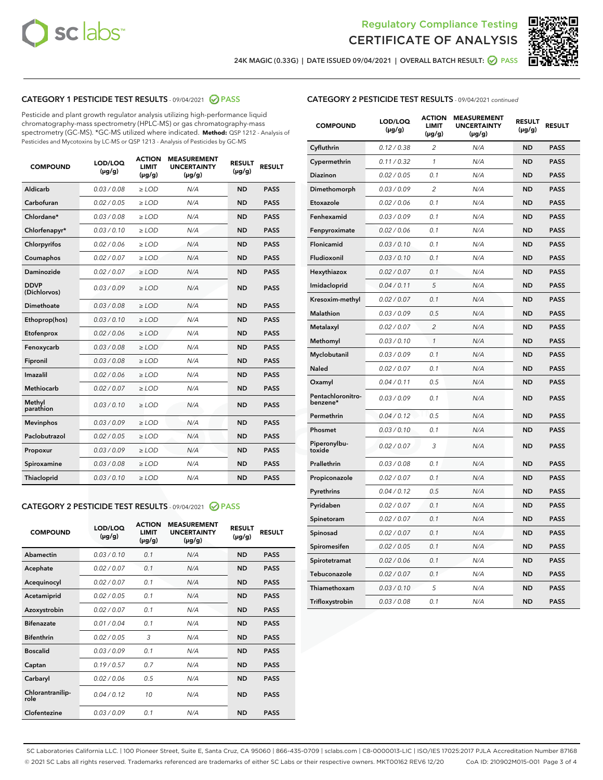



24K MAGIC (0.33G) | DATE ISSUED 09/04/2021 | OVERALL BATCH RESULT: ● PASS

# CATEGORY 1 PESTICIDE TEST RESULTS - 09/04/2021 2 PASS

Pesticide and plant growth regulator analysis utilizing high-performance liquid chromatography-mass spectrometry (HPLC-MS) or gas chromatography-mass spectrometry (GC-MS). \*GC-MS utilized where indicated. **Method:** QSP 1212 - Analysis of Pesticides and Mycotoxins by LC-MS or QSP 1213 - Analysis of Pesticides by GC-MS

| <b>COMPOUND</b>             | LOD/LOQ<br>$(\mu g/g)$ | <b>ACTION</b><br><b>LIMIT</b><br>$(\mu g/g)$ | <b>MEASUREMENT</b><br><b>UNCERTAINTY</b><br>$(\mu g/g)$ | <b>RESULT</b><br>$(\mu g/g)$ | <b>RESULT</b> |
|-----------------------------|------------------------|----------------------------------------------|---------------------------------------------------------|------------------------------|---------------|
| Aldicarb                    | 0.03 / 0.08            | $\geq$ LOD                                   | N/A                                                     | <b>ND</b>                    | <b>PASS</b>   |
| Carbofuran                  | 0.02 / 0.05            | $>$ LOD                                      | N/A                                                     | <b>ND</b>                    | <b>PASS</b>   |
| Chlordane*                  | 0.03 / 0.08            | $\ge$ LOD                                    | N/A                                                     | <b>ND</b>                    | <b>PASS</b>   |
| Chlorfenapyr*               | 0.03/0.10              | $>$ LOD                                      | N/A                                                     | <b>ND</b>                    | <b>PASS</b>   |
| Chlorpyrifos                | 0.02 / 0.06            | ≥ LOD                                        | N/A                                                     | <b>ND</b>                    | <b>PASS</b>   |
| Coumaphos                   | 0.02 / 0.07            | $\ge$ LOD                                    | N/A                                                     | <b>ND</b>                    | <b>PASS</b>   |
| Daminozide                  | 0.02 / 0.07            | $\geq$ LOD                                   | N/A                                                     | <b>ND</b>                    | <b>PASS</b>   |
| <b>DDVP</b><br>(Dichlorvos) | 0.03/0.09              | $\geq$ LOD                                   | N/A                                                     | <b>ND</b>                    | <b>PASS</b>   |
| Dimethoate                  | 0.03 / 0.08            | $>$ LOD                                      | N/A                                                     | <b>ND</b>                    | <b>PASS</b>   |
| Ethoprop(hos)               | 0.03/0.10              | $\ge$ LOD                                    | N/A                                                     | <b>ND</b>                    | <b>PASS</b>   |
| Etofenprox                  | 0.02 / 0.06            | $>$ LOD                                      | N/A                                                     | <b>ND</b>                    | <b>PASS</b>   |
| Fenoxycarb                  | 0.03 / 0.08            | $\geq$ LOD                                   | N/A                                                     | <b>ND</b>                    | <b>PASS</b>   |
| Fipronil                    | 0.03/0.08              | $>$ LOD                                      | N/A                                                     | <b>ND</b>                    | <b>PASS</b>   |
| Imazalil                    | 0.02 / 0.06            | $\geq$ LOD                                   | N/A                                                     | <b>ND</b>                    | <b>PASS</b>   |
| <b>Methiocarb</b>           | 0.02 / 0.07            | $\ge$ LOD                                    | N/A                                                     | <b>ND</b>                    | <b>PASS</b>   |
| Methyl<br>parathion         | 0.03/0.10              | $\geq$ LOD                                   | N/A                                                     | <b>ND</b>                    | <b>PASS</b>   |
| <b>Mevinphos</b>            | 0.03/0.09              | $>$ LOD                                      | N/A                                                     | <b>ND</b>                    | <b>PASS</b>   |
| Paclobutrazol               | 0.02 / 0.05            | $\geq$ LOD                                   | N/A                                                     | <b>ND</b>                    | <b>PASS</b>   |
| Propoxur                    | 0.03/0.09              | $\ge$ LOD                                    | N/A                                                     | <b>ND</b>                    | <b>PASS</b>   |
| Spiroxamine                 | 0.03 / 0.08            | $\ge$ LOD                                    | N/A                                                     | <b>ND</b>                    | <b>PASS</b>   |
| Thiacloprid                 | 0.03/0.10              | $\geq$ LOD                                   | N/A                                                     | <b>ND</b>                    | <b>PASS</b>   |

#### CATEGORY 2 PESTICIDE TEST RESULTS - 09/04/2021 @ PASS

| <b>COMPOUND</b>          | LOD/LOQ<br>$(\mu g/g)$ | <b>ACTION</b><br>LIMIT<br>$(\mu g/g)$ | <b>MEASUREMENT</b><br><b>UNCERTAINTY</b><br>$(\mu g/g)$ | <b>RESULT</b><br>$(\mu g/g)$ | <b>RESULT</b> |
|--------------------------|------------------------|---------------------------------------|---------------------------------------------------------|------------------------------|---------------|
| Abamectin                | 0.03/0.10              | 0.1                                   | N/A                                                     | <b>ND</b>                    | <b>PASS</b>   |
| Acephate                 | 0.02/0.07              | 0.1                                   | N/A                                                     | <b>ND</b>                    | <b>PASS</b>   |
| Acequinocyl              | 0.02/0.07              | 0.1                                   | N/A                                                     | <b>ND</b>                    | <b>PASS</b>   |
| Acetamiprid              | 0.02/0.05              | 0.1                                   | N/A                                                     | <b>ND</b>                    | <b>PASS</b>   |
| Azoxystrobin             | 0.02/0.07              | 0.1                                   | N/A                                                     | <b>ND</b>                    | <b>PASS</b>   |
| <b>Bifenazate</b>        | 0.01/0.04              | 0.1                                   | N/A                                                     | <b>ND</b>                    | <b>PASS</b>   |
| <b>Bifenthrin</b>        | 0.02 / 0.05            | 3                                     | N/A                                                     | <b>ND</b>                    | <b>PASS</b>   |
| <b>Boscalid</b>          | 0.03/0.09              | 0.1                                   | N/A                                                     | <b>ND</b>                    | <b>PASS</b>   |
| Captan                   | 0.19/0.57              | 0.7                                   | N/A                                                     | <b>ND</b>                    | <b>PASS</b>   |
| Carbaryl                 | 0.02/0.06              | 0.5                                   | N/A                                                     | <b>ND</b>                    | <b>PASS</b>   |
| Chlorantranilip-<br>role | 0.04/0.12              | 10                                    | N/A                                                     | <b>ND</b>                    | <b>PASS</b>   |
| Clofentezine             | 0.03/0.09              | 0.1                                   | N/A                                                     | <b>ND</b>                    | <b>PASS</b>   |

| <b>CATEGORY 2 PESTICIDE TEST RESULTS</b> - 09/04/2021 continued |  |  |
|-----------------------------------------------------------------|--|--|
|                                                                 |  |  |

| <b>COMPOUND</b>               | LOD/LOQ<br>(µg/g) | <b>ACTION</b><br>LIMIT<br>(µg/g) | <b>MEASUREMENT</b><br><b>UNCERTAINTY</b><br>(µg/g) | <b>RESULT</b><br>(µg/g) | <b>RESULT</b> |
|-------------------------------|-------------------|----------------------------------|----------------------------------------------------|-------------------------|---------------|
| Cyfluthrin                    | 0.12 / 0.38       | $\overline{c}$                   | N/A                                                | <b>ND</b>               | <b>PASS</b>   |
| Cypermethrin                  | 0.11/0.32         | 1                                | N/A                                                | <b>ND</b>               | <b>PASS</b>   |
| <b>Diazinon</b>               | 0.02 / 0.05       | 0.1                              | N/A                                                | <b>ND</b>               | <b>PASS</b>   |
| Dimethomorph                  | 0.03 / 0.09       | 2                                | N/A                                                | <b>ND</b>               | <b>PASS</b>   |
| Etoxazole                     | 0.02 / 0.06       | 0.1                              | N/A                                                | <b>ND</b>               | <b>PASS</b>   |
| Fenhexamid                    | 0.03 / 0.09       | 0.1                              | N/A                                                | <b>ND</b>               | <b>PASS</b>   |
| Fenpyroximate                 | 0.02 / 0.06       | 0.1                              | N/A                                                | <b>ND</b>               | <b>PASS</b>   |
| Flonicamid                    | 0.03 / 0.10       | 0.1                              | N/A                                                | <b>ND</b>               | <b>PASS</b>   |
| Fludioxonil                   | 0.03/0.10         | 0.1                              | N/A                                                | <b>ND</b>               | <b>PASS</b>   |
| Hexythiazox                   | 0.02 / 0.07       | 0.1                              | N/A                                                | <b>ND</b>               | <b>PASS</b>   |
| Imidacloprid                  | 0.04 / 0.11       | 5                                | N/A                                                | <b>ND</b>               | <b>PASS</b>   |
| Kresoxim-methyl               | 0.02 / 0.07       | 0.1                              | N/A                                                | <b>ND</b>               | <b>PASS</b>   |
| <b>Malathion</b>              | 0.03 / 0.09       | 0.5                              | N/A                                                | <b>ND</b>               | <b>PASS</b>   |
| Metalaxyl                     | 0.02 / 0.07       | $\overline{c}$                   | N/A                                                | <b>ND</b>               | <b>PASS</b>   |
| Methomyl                      | 0.03 / 0.10       | 1                                | N/A                                                | <b>ND</b>               | <b>PASS</b>   |
| Myclobutanil                  | 0.03/0.09         | 0.1                              | N/A                                                | <b>ND</b>               | <b>PASS</b>   |
| Naled                         | 0.02 / 0.07       | 0.1                              | N/A                                                | <b>ND</b>               | <b>PASS</b>   |
| Oxamyl                        | 0.04 / 0.11       | 0.5                              | N/A                                                | <b>ND</b>               | <b>PASS</b>   |
| Pentachloronitro-<br>benzene* | 0.03/0.09         | 0.1                              | N/A                                                | <b>ND</b>               | <b>PASS</b>   |
| Permethrin                    | 0.04 / 0.12       | 0.5                              | N/A                                                | <b>ND</b>               | <b>PASS</b>   |
| Phosmet                       | 0.03 / 0.10       | 0.1                              | N/A                                                | <b>ND</b>               | <b>PASS</b>   |
| Piperonylbu-<br>toxide        | 0.02 / 0.07       | 3                                | N/A                                                | <b>ND</b>               | <b>PASS</b>   |
| Prallethrin                   | 0.03 / 0.08       | 0.1                              | N/A                                                | <b>ND</b>               | <b>PASS</b>   |
| Propiconazole                 | 0.02 / 0.07       | 0.1                              | N/A                                                | <b>ND</b>               | <b>PASS</b>   |
| Pyrethrins                    | 0.04 / 0.12       | 0.5                              | N/A                                                | <b>ND</b>               | <b>PASS</b>   |
| Pyridaben                     | 0.02 / 0.07       | 0.1                              | N/A                                                | <b>ND</b>               | <b>PASS</b>   |
| Spinetoram                    | 0.02 / 0.07       | 0.1                              | N/A                                                | <b>ND</b>               | <b>PASS</b>   |
| Spinosad                      | 0.02 / 0.07       | 0.1                              | N/A                                                | <b>ND</b>               | <b>PASS</b>   |
| Spiromesifen                  | 0.02 / 0.05       | 0.1                              | N/A                                                | <b>ND</b>               | <b>PASS</b>   |
| Spirotetramat                 | 0.02 / 0.06       | 0.1                              | N/A                                                | <b>ND</b>               | <b>PASS</b>   |
| Tebuconazole                  | 0.02 / 0.07       | 0.1                              | N/A                                                | <b>ND</b>               | <b>PASS</b>   |
| Thiamethoxam                  | 0.03 / 0.10       | 5                                | N/A                                                | <b>ND</b>               | <b>PASS</b>   |
| Trifloxystrobin               | 0.03 / 0.08       | 0.1                              | N/A                                                | <b>ND</b>               | <b>PASS</b>   |

SC Laboratories California LLC. | 100 Pioneer Street, Suite E, Santa Cruz, CA 95060 | 866-435-0709 | sclabs.com | C8-0000013-LIC | ISO/IES 17025:2017 PJLA Accreditation Number 87168 © 2021 SC Labs all rights reserved. Trademarks referenced are trademarks of either SC Labs or their respective owners. MKT00162 REV6 12/20 CoA ID: 210902M015-001 Page 3 of 4